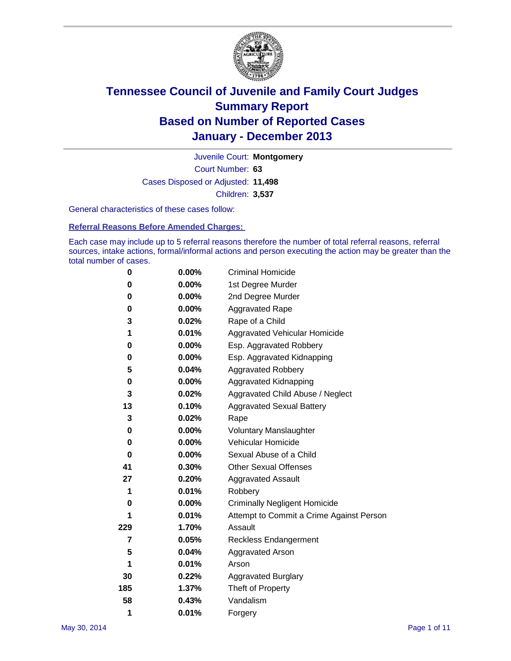

Court Number: **63** Juvenile Court: **Montgomery** Cases Disposed or Adjusted: **11,498** Children: **3,537**

General characteristics of these cases follow:

**Referral Reasons Before Amended Charges:** 

Each case may include up to 5 referral reasons therefore the number of total referral reasons, referral sources, intake actions, formal/informal actions and person executing the action may be greater than the total number of cases.

| 0   | $0.00\%$ | <b>Criminal Homicide</b>                 |  |  |
|-----|----------|------------------------------------------|--|--|
| 0   | 0.00%    | 1st Degree Murder                        |  |  |
| 0   | 0.00%    | 2nd Degree Murder                        |  |  |
| 0   | $0.00\%$ | <b>Aggravated Rape</b>                   |  |  |
| 3   | 0.02%    | Rape of a Child                          |  |  |
| 1   | 0.01%    | Aggravated Vehicular Homicide            |  |  |
| 0   | $0.00\%$ | Esp. Aggravated Robbery                  |  |  |
| 0   | $0.00\%$ | Esp. Aggravated Kidnapping               |  |  |
| 5   | 0.04%    | <b>Aggravated Robbery</b>                |  |  |
| 0   | 0.00%    | Aggravated Kidnapping                    |  |  |
| 3   | 0.02%    | Aggravated Child Abuse / Neglect         |  |  |
| 13  | 0.10%    | <b>Aggravated Sexual Battery</b>         |  |  |
| 3   | 0.02%    | Rape                                     |  |  |
| 0   | $0.00\%$ | <b>Voluntary Manslaughter</b>            |  |  |
| 0   | 0.00%    | Vehicular Homicide                       |  |  |
| 0   | 0.00%    | Sexual Abuse of a Child                  |  |  |
| 41  | 0.30%    | <b>Other Sexual Offenses</b>             |  |  |
| 27  | 0.20%    | <b>Aggravated Assault</b>                |  |  |
| 1   | 0.01%    | Robbery                                  |  |  |
| 0   | 0.00%    | <b>Criminally Negligent Homicide</b>     |  |  |
| 1   | 0.01%    | Attempt to Commit a Crime Against Person |  |  |
| 229 | 1.70%    | Assault                                  |  |  |
| 7   | 0.05%    | <b>Reckless Endangerment</b>             |  |  |
| 5   | 0.04%    | Aggravated Arson                         |  |  |
| 1   | 0.01%    | Arson                                    |  |  |
| 30  | 0.22%    | <b>Aggravated Burglary</b>               |  |  |
| 185 | 1.37%    | Theft of Property                        |  |  |
| 58  | 0.43%    | Vandalism                                |  |  |
| 1   | 0.01%    | Forgery                                  |  |  |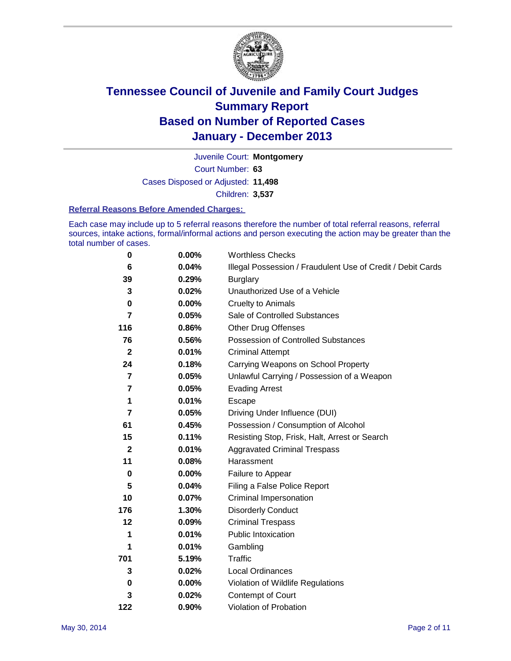

Court Number: **63** Juvenile Court: **Montgomery** Cases Disposed or Adjusted: **11,498** Children: **3,537**

#### **Referral Reasons Before Amended Charges:**

Each case may include up to 5 referral reasons therefore the number of total referral reasons, referral sources, intake actions, formal/informal actions and person executing the action may be greater than the total number of cases.

| $\bf{0}$         | 0.00% | <b>Worthless Checks</b>                                     |  |  |
|------------------|-------|-------------------------------------------------------------|--|--|
| 6                | 0.04% | Illegal Possession / Fraudulent Use of Credit / Debit Cards |  |  |
| 39               | 0.29% | <b>Burglary</b>                                             |  |  |
| 3                | 0.02% | Unauthorized Use of a Vehicle                               |  |  |
| $\bf{0}$         | 0.00% | <b>Cruelty to Animals</b>                                   |  |  |
| $\overline{7}$   | 0.05% | Sale of Controlled Substances                               |  |  |
| 116              | 0.86% | <b>Other Drug Offenses</b>                                  |  |  |
| 76               | 0.56% | Possession of Controlled Substances                         |  |  |
| $\mathbf{2}$     | 0.01% | <b>Criminal Attempt</b>                                     |  |  |
| 24               | 0.18% | Carrying Weapons on School Property                         |  |  |
| 7                | 0.05% | Unlawful Carrying / Possession of a Weapon                  |  |  |
| 7                | 0.05% | <b>Evading Arrest</b>                                       |  |  |
| 1                | 0.01% | Escape                                                      |  |  |
| 7                | 0.05% | Driving Under Influence (DUI)                               |  |  |
| 61               | 0.45% | Possession / Consumption of Alcohol                         |  |  |
| 15               | 0.11% | Resisting Stop, Frisk, Halt, Arrest or Search               |  |  |
| $\boldsymbol{2}$ | 0.01% | <b>Aggravated Criminal Trespass</b>                         |  |  |
| 11               | 0.08% | Harassment                                                  |  |  |
| $\bf{0}$         | 0.00% | Failure to Appear                                           |  |  |
| 5                | 0.04% | Filing a False Police Report                                |  |  |
| 10               | 0.07% | Criminal Impersonation                                      |  |  |
| 176              | 1.30% | <b>Disorderly Conduct</b>                                   |  |  |
| 12               | 0.09% | <b>Criminal Trespass</b>                                    |  |  |
| 1                | 0.01% | <b>Public Intoxication</b>                                  |  |  |
| 1                | 0.01% | Gambling                                                    |  |  |
| 701              | 5.19% | <b>Traffic</b>                                              |  |  |
| 3                | 0.02% | <b>Local Ordinances</b>                                     |  |  |
| 0                | 0.00% | Violation of Wildlife Regulations                           |  |  |
| 3                | 0.02% | Contempt of Court                                           |  |  |
| 122              | 0.90% | Violation of Probation                                      |  |  |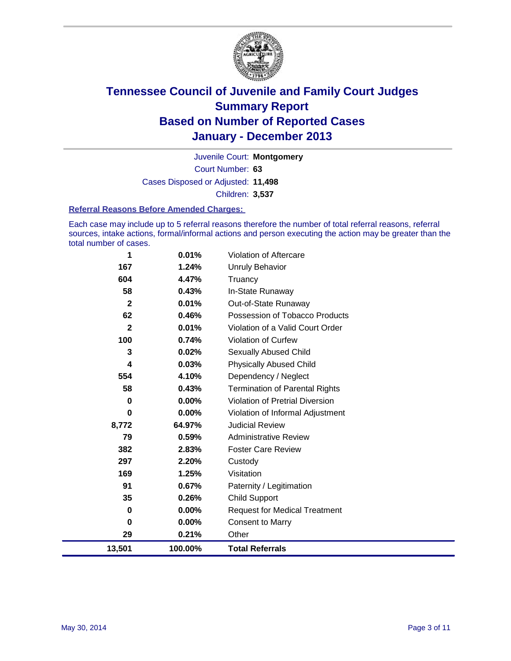

Court Number: **63** Juvenile Court: **Montgomery** Cases Disposed or Adjusted: **11,498** Children: **3,537**

#### **Referral Reasons Before Amended Charges:**

Each case may include up to 5 referral reasons therefore the number of total referral reasons, referral sources, intake actions, formal/informal actions and person executing the action may be greater than the total number of cases.

| 1                       | 0.01%    | <b>Violation of Aftercare</b>          |
|-------------------------|----------|----------------------------------------|
| 167                     | 1.24%    | <b>Unruly Behavior</b>                 |
| 604                     | 4.47%    | Truancy                                |
| 58                      | 0.43%    | In-State Runaway                       |
| $\overline{\mathbf{2}}$ | 0.01%    | Out-of-State Runaway                   |
| 62                      | 0.46%    | Possession of Tobacco Products         |
| $\overline{2}$          | 0.01%    | Violation of a Valid Court Order       |
| 100                     | 0.74%    | <b>Violation of Curfew</b>             |
| 3                       | 0.02%    | Sexually Abused Child                  |
| 4                       | 0.03%    | <b>Physically Abused Child</b>         |
| 554                     | 4.10%    | Dependency / Neglect                   |
| 58                      | 0.43%    | <b>Termination of Parental Rights</b>  |
| 0                       | $0.00\%$ | <b>Violation of Pretrial Diversion</b> |
| 0                       | 0.00%    | Violation of Informal Adjustment       |
| 8,772                   | 64.97%   | <b>Judicial Review</b>                 |
| 79                      | 0.59%    | <b>Administrative Review</b>           |
| 382                     | 2.83%    | <b>Foster Care Review</b>              |
| 297                     | 2.20%    | Custody                                |
| 169                     | 1.25%    | Visitation                             |
| 91                      | 0.67%    | Paternity / Legitimation               |
| 35                      | 0.26%    | <b>Child Support</b>                   |
| 0                       | 0.00%    | <b>Request for Medical Treatment</b>   |
| 0                       | 0.00%    | <b>Consent to Marry</b>                |
| 29                      | 0.21%    | Other                                  |
| 13,501                  | 100.00%  | <b>Total Referrals</b>                 |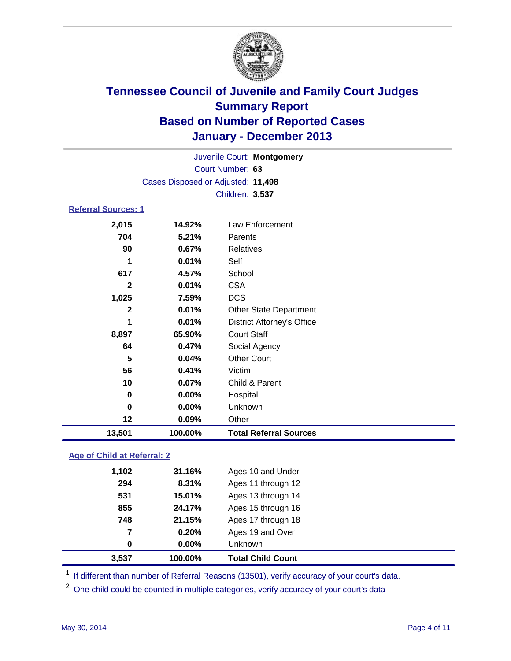

| Juvenile Court: Montgomery |                                    |                                   |  |  |  |
|----------------------------|------------------------------------|-----------------------------------|--|--|--|
| Court Number: 63           |                                    |                                   |  |  |  |
|                            | Cases Disposed or Adjusted: 11,498 |                                   |  |  |  |
|                            | Children: 3,537                    |                                   |  |  |  |
| <b>Referral Sources: 1</b> |                                    |                                   |  |  |  |
| 2,015                      | 14.92%                             | Law Enforcement                   |  |  |  |
| 704                        | 5.21%                              | Parents                           |  |  |  |
| 90                         | 0.67%                              | Relatives                         |  |  |  |
| 1                          | 0.01%                              | Self                              |  |  |  |
| 617                        | 4.57%                              | School                            |  |  |  |
| $\mathbf{2}$               | 0.01%                              | <b>CSA</b>                        |  |  |  |
| 1,025                      | 7.59%                              | <b>DCS</b>                        |  |  |  |
| $\mathbf{2}$               | 0.01%                              | <b>Other State Department</b>     |  |  |  |
| 1                          | 0.01%                              | <b>District Attorney's Office</b> |  |  |  |
| 8,897                      | 65.90%                             | <b>Court Staff</b>                |  |  |  |
| 64                         | 0.47%                              | Social Agency                     |  |  |  |
| 5                          | 0.04%                              | <b>Other Court</b>                |  |  |  |
| 56                         | 0.41%                              | Victim                            |  |  |  |
| 10                         | 0.07%                              | Child & Parent                    |  |  |  |
| 0                          | 0.00%                              | Hospital                          |  |  |  |
| 0                          | 0.00%                              | Unknown                           |  |  |  |
| 12                         | 0.09%                              | Other                             |  |  |  |
| 13,501                     | 100.00%                            | <b>Total Referral Sources</b>     |  |  |  |

### **Age of Child at Referral: 2**

| 7<br>0 | 0.20%<br>$0.00\%$ | Ages 19 and Over<br><b>Unknown</b> |
|--------|-------------------|------------------------------------|
|        |                   |                                    |
|        |                   |                                    |
|        | 21.15%            | Ages 17 through 18                 |
| 855    | 24.17%            | Ages 15 through 16                 |
| 531    | 15.01%            | Ages 13 through 14                 |
| 294    | 8.31%             | Ages 11 through 12                 |
| 1,102  | 31.16%            | Ages 10 and Under                  |
|        | 748               |                                    |

<sup>1</sup> If different than number of Referral Reasons (13501), verify accuracy of your court's data.

<sup>2</sup> One child could be counted in multiple categories, verify accuracy of your court's data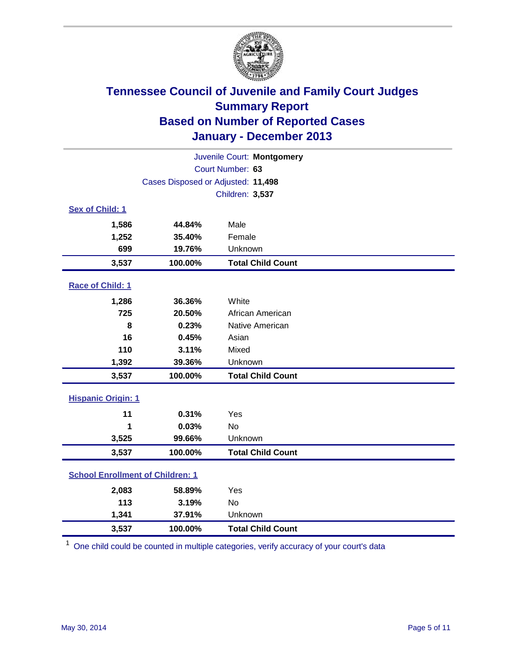

| Juvenile Court: Montgomery                   |                                    |                          |  |  |
|----------------------------------------------|------------------------------------|--------------------------|--|--|
|                                              | Court Number: 63                   |                          |  |  |
|                                              | Cases Disposed or Adjusted: 11,498 |                          |  |  |
|                                              | Children: 3,537                    |                          |  |  |
| Sex of Child: 1                              |                                    |                          |  |  |
| 1,586                                        | 44.84%                             | Male                     |  |  |
| 1,252                                        | 35.40%                             | Female                   |  |  |
| 699                                          | 19.76%                             | Unknown                  |  |  |
| 3,537                                        | 100.00%                            | <b>Total Child Count</b> |  |  |
| Race of Child: 1                             |                                    |                          |  |  |
| 1,286                                        | 36.36%                             | White                    |  |  |
| 725                                          | 20.50%                             | African American         |  |  |
| 8                                            | 0.23%                              | Native American          |  |  |
| 16                                           | 0.45%                              | Asian                    |  |  |
| 110                                          | 3.11%                              | Mixed                    |  |  |
| 1,392                                        | 39.36%                             | Unknown                  |  |  |
| 3,537                                        | 100.00%                            | <b>Total Child Count</b> |  |  |
| <b>Hispanic Origin: 1</b>                    |                                    |                          |  |  |
| 11                                           | 0.31%                              | Yes                      |  |  |
| 1                                            | 0.03%                              | No                       |  |  |
| 3,525                                        | 99.66%                             | Unknown                  |  |  |
| 3,537                                        | 100.00%                            | <b>Total Child Count</b> |  |  |
| <b>School Enrollment of Children: 1</b>      |                                    |                          |  |  |
| 2,083                                        | 58.89%                             | Yes                      |  |  |
| 113                                          | 3.19%                              | <b>No</b>                |  |  |
| 1,341                                        | 37.91%                             | Unknown                  |  |  |
| 100.00%<br><b>Total Child Count</b><br>3,537 |                                    |                          |  |  |

 $1$  One child could be counted in multiple categories, verify accuracy of your court's data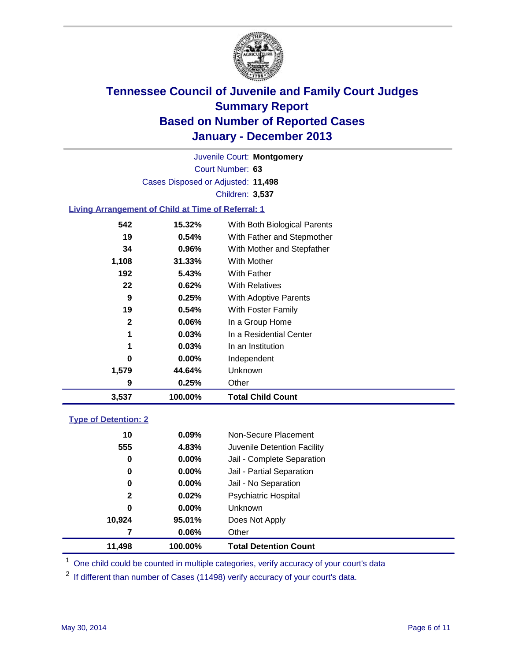

Court Number: **63** Juvenile Court: **Montgomery** Cases Disposed or Adjusted: **11,498** Children: **3,537**

### **Living Arrangement of Child at Time of Referral: 1**

| 3,537        | 100.00%  | <b>Total Child Count</b>     |
|--------------|----------|------------------------------|
| 9            | 0.25%    | Other                        |
| 1,579        | 44.64%   | Unknown                      |
| 0            | $0.00\%$ | Independent                  |
| 1            | 0.03%    | In an Institution            |
| 1            | 0.03%    | In a Residential Center      |
| $\mathbf{2}$ | 0.06%    | In a Group Home              |
| 19           | 0.54%    | With Foster Family           |
| 9            | 0.25%    | With Adoptive Parents        |
| 22           | 0.62%    | <b>With Relatives</b>        |
| 192          | 5.43%    | With Father                  |
| 1,108        | 31.33%   | <b>With Mother</b>           |
| 34           | $0.96\%$ | With Mother and Stepfather   |
| 19           | 0.54%    | With Father and Stepmother   |
| 542          | 15.32%   | With Both Biological Parents |
|              |          |                              |

#### **Type of Detention: 2**

| 11,498 | 100.00%  | <b>Total Detention Count</b> |
|--------|----------|------------------------------|
| 7      | 0.06%    | Other                        |
| 10,924 | 95.01%   | Does Not Apply               |
| 0      | $0.00\%$ | <b>Unknown</b>               |
| 2      | 0.02%    | <b>Psychiatric Hospital</b>  |
| 0      | 0.00%    | Jail - No Separation         |
| 0      | $0.00\%$ | Jail - Partial Separation    |
| 0      | 0.00%    | Jail - Complete Separation   |
| 555    | 4.83%    | Juvenile Detention Facility  |
| 10     | 0.09%    | Non-Secure Placement         |
|        |          |                              |

<sup>1</sup> One child could be counted in multiple categories, verify accuracy of your court's data

 $2$  If different than number of Cases (11498) verify accuracy of your court's data.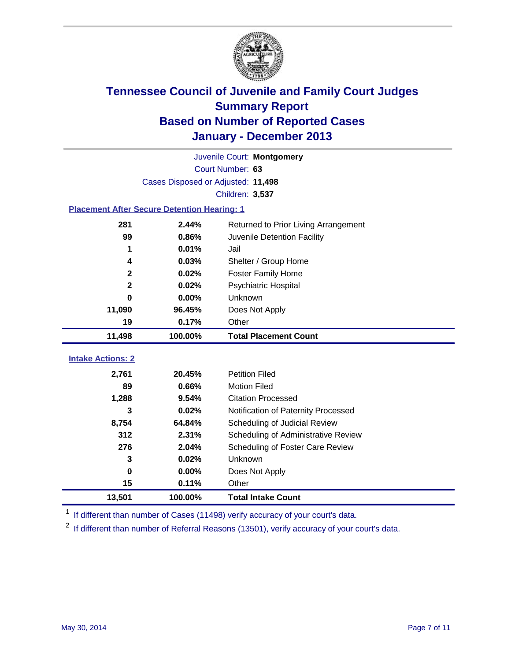

|                                                    | Juvenile Court: Montgomery         |                                      |  |  |  |  |
|----------------------------------------------------|------------------------------------|--------------------------------------|--|--|--|--|
|                                                    | Court Number: 63                   |                                      |  |  |  |  |
|                                                    | Cases Disposed or Adjusted: 11,498 |                                      |  |  |  |  |
|                                                    | Children: 3,537                    |                                      |  |  |  |  |
| <b>Placement After Secure Detention Hearing: 1</b> |                                    |                                      |  |  |  |  |
| 281                                                | 2.44%                              | Returned to Prior Living Arrangement |  |  |  |  |
| 99                                                 | 0.86%                              | Juvenile Detention Facility          |  |  |  |  |
| 1                                                  | 0.01%                              | Jail                                 |  |  |  |  |
| 4                                                  | 0.03%                              | Shelter / Group Home                 |  |  |  |  |
| $\mathbf{2}$                                       | 0.02%                              | <b>Foster Family Home</b>            |  |  |  |  |
| $\mathbf{2}$                                       | 0.02%                              | <b>Psychiatric Hospital</b>          |  |  |  |  |
| $\bf{0}$                                           | 0.00%                              | Unknown                              |  |  |  |  |
| 11,090                                             | 96.45%                             | Does Not Apply                       |  |  |  |  |
| 19                                                 | 0.17%                              | Other                                |  |  |  |  |
|                                                    |                                    |                                      |  |  |  |  |
| 11,498                                             | 100.00%                            | <b>Total Placement Count</b>         |  |  |  |  |
|                                                    |                                    |                                      |  |  |  |  |
| <b>Intake Actions: 2</b>                           |                                    |                                      |  |  |  |  |
| 2,761                                              | 20.45%                             | <b>Petition Filed</b>                |  |  |  |  |
| 89                                                 | 0.66%                              | <b>Motion Filed</b>                  |  |  |  |  |
| 1,288                                              | 9.54%                              | <b>Citation Processed</b>            |  |  |  |  |
| 3                                                  | 0.02%                              | Notification of Paternity Processed  |  |  |  |  |
| 8,754                                              | 64.84%                             | Scheduling of Judicial Review        |  |  |  |  |
| 312                                                | 2.31%                              | Scheduling of Administrative Review  |  |  |  |  |
| 276                                                | 2.04%                              | Scheduling of Foster Care Review     |  |  |  |  |
| 3                                                  | 0.02%                              | Unknown                              |  |  |  |  |
| $\bf{0}$                                           | 0.00%                              | Does Not Apply                       |  |  |  |  |
| 15                                                 | 0.11%                              | Other                                |  |  |  |  |

<sup>1</sup> If different than number of Cases (11498) verify accuracy of your court's data.

 $2$  If different than number of Referral Reasons (13501), verify accuracy of your court's data.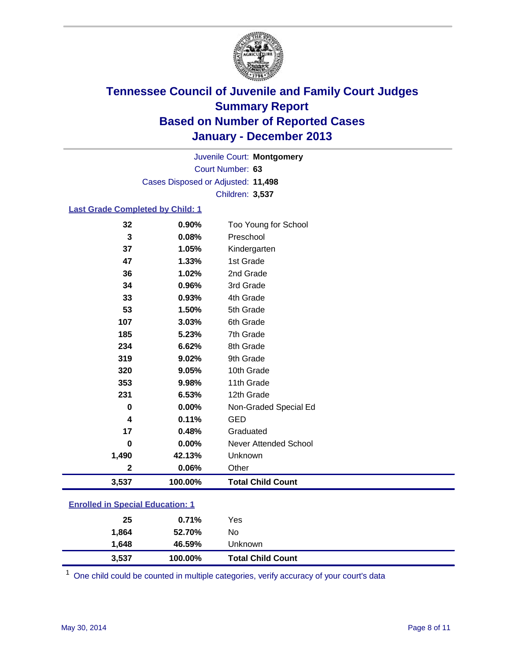

Court Number: **63** Juvenile Court: **Montgomery** Cases Disposed or Adjusted: **11,498** Children: **3,537**

#### **Last Grade Completed by Child: 1**

| 3,537       | 100.00% | <b>Total Child Count</b> |
|-------------|---------|--------------------------|
| $\mathbf 2$ | 0.06%   | Other                    |
| 1,490       | 42.13%  | Unknown                  |
| 0           | 0.00%   | Never Attended School    |
| 17          | 0.48%   | Graduated                |
| 4           | 0.11%   | <b>GED</b>               |
| 0           | 0.00%   | Non-Graded Special Ed    |
| 231         | 6.53%   | 12th Grade               |
| 353         | 9.98%   | 11th Grade               |
| 320         | 9.05%   | 10th Grade               |
| 319         | 9.02%   | 9th Grade                |
| 234         | 6.62%   | 8th Grade                |
| 185         | 5.23%   | 7th Grade                |
| 107         | 3.03%   | 6th Grade                |
| 53          | 1.50%   | 5th Grade                |
| 33          | 0.93%   | 4th Grade                |
| 34          | 0.96%   | 3rd Grade                |
| 36          | 1.02%   | 2nd Grade                |
| 47          | 1.33%   | 1st Grade                |
| 37          | 1.05%   | Kindergarten             |
| 3           | 0.08%   | Preschool                |
| 32          | 0.90%   | Too Young for School     |

### **Enrolled in Special Education: 1**

| 25    | 0.71%   | Yes                      |  |
|-------|---------|--------------------------|--|
| 1,864 | 52.70%  | No                       |  |
| 1.648 | 46.59%  | Unknown                  |  |
| 3,537 | 100.00% | <b>Total Child Count</b> |  |

 $1$  One child could be counted in multiple categories, verify accuracy of your court's data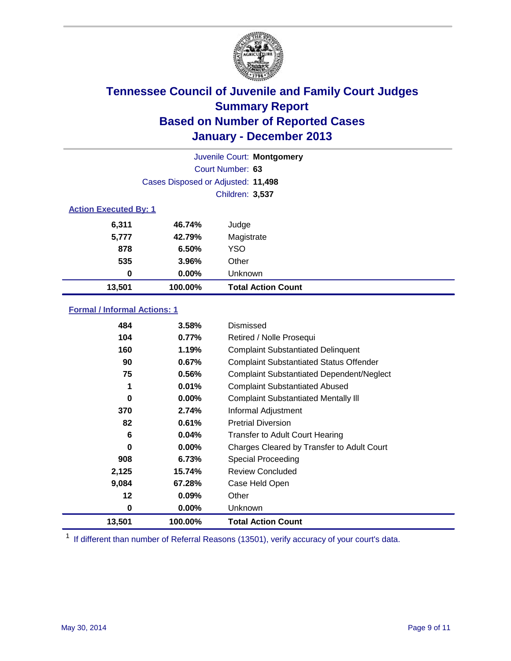

|                              |                                    | Juvenile Court: Montgomery |
|------------------------------|------------------------------------|----------------------------|
|                              |                                    | Court Number: 63           |
|                              | Cases Disposed or Adjusted: 11,498 |                            |
|                              |                                    | <b>Children: 3,537</b>     |
| <b>Action Executed By: 1</b> |                                    |                            |
| 6,311                        | 46.74%                             | Judge                      |
| 5,777                        | 42.79%                             | Magistrate                 |
| 878                          | 6.50%                              | <b>YSO</b>                 |
| 535                          | 3.96%                              | Other                      |
| 0                            | 0.00%                              | Unknown                    |
| 13,501                       | 100.00%                            | <b>Total Action Count</b>  |

### **Formal / Informal Actions: 1**

| 484    | 3.58%    | Dismissed                                        |
|--------|----------|--------------------------------------------------|
| 104    | 0.77%    | Retired / Nolle Prosequi                         |
| 160    | 1.19%    | <b>Complaint Substantiated Delinquent</b>        |
| 90     | 0.67%    | <b>Complaint Substantiated Status Offender</b>   |
| 75     | 0.56%    | <b>Complaint Substantiated Dependent/Neglect</b> |
| 1      | 0.01%    | <b>Complaint Substantiated Abused</b>            |
| 0      | $0.00\%$ | <b>Complaint Substantiated Mentally III</b>      |
| 370    | 2.74%    | Informal Adjustment                              |
| 82     | 0.61%    | <b>Pretrial Diversion</b>                        |
| 6      | 0.04%    | <b>Transfer to Adult Court Hearing</b>           |
| 0      | $0.00\%$ | Charges Cleared by Transfer to Adult Court       |
| 908    | 6.73%    | Special Proceeding                               |
| 2,125  | 15.74%   | <b>Review Concluded</b>                          |
| 9,084  | 67.28%   | Case Held Open                                   |
| 12     | 0.09%    | Other                                            |
| 0      | $0.00\%$ | Unknown                                          |
| 13,501 | 100.00%  | <b>Total Action Count</b>                        |

<sup>1</sup> If different than number of Referral Reasons (13501), verify accuracy of your court's data.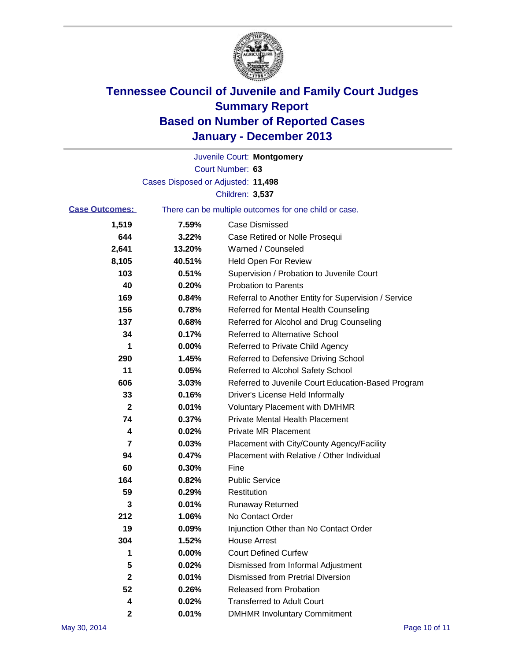

|                       |                                    | Juvenile Court: Montgomery                            |
|-----------------------|------------------------------------|-------------------------------------------------------|
|                       |                                    | Court Number: 63                                      |
|                       | Cases Disposed or Adjusted: 11,498 |                                                       |
|                       |                                    | Children: 3,537                                       |
| <b>Case Outcomes:</b> |                                    | There can be multiple outcomes for one child or case. |
| 1,519                 | 7.59%                              | <b>Case Dismissed</b>                                 |
| 644                   | 3.22%                              | Case Retired or Nolle Prosequi                        |
| 2,641                 | 13.20%                             | Warned / Counseled                                    |
| 8,105                 | 40.51%                             | <b>Held Open For Review</b>                           |
| 103                   | 0.51%                              | Supervision / Probation to Juvenile Court             |
| 40                    | 0.20%                              | <b>Probation to Parents</b>                           |
| 169                   | 0.84%                              | Referral to Another Entity for Supervision / Service  |
| 156                   | 0.78%                              | Referred for Mental Health Counseling                 |
| 137                   | 0.68%                              | Referred for Alcohol and Drug Counseling              |
| 34                    | 0.17%                              | Referred to Alternative School                        |
| 1                     | 0.00%                              | Referred to Private Child Agency                      |
| 290                   | 1.45%                              | Referred to Defensive Driving School                  |
| 11                    | 0.05%                              | Referred to Alcohol Safety School                     |
| 606                   | 3.03%                              | Referred to Juvenile Court Education-Based Program    |
| 33                    | 0.16%                              | Driver's License Held Informally                      |
| $\mathbf 2$           | 0.01%                              | <b>Voluntary Placement with DMHMR</b>                 |
| 74                    | 0.37%                              | <b>Private Mental Health Placement</b>                |
| 4                     | 0.02%                              | <b>Private MR Placement</b>                           |
| 7                     | 0.03%                              | Placement with City/County Agency/Facility            |
| 94                    | 0.47%                              | Placement with Relative / Other Individual            |
| 60                    | 0.30%                              | Fine                                                  |
| 164                   | 0.82%                              | <b>Public Service</b>                                 |
| 59                    | 0.29%                              | Restitution                                           |
| 3                     | 0.01%                              | <b>Runaway Returned</b>                               |
| 212                   | 1.06%                              | No Contact Order                                      |
| 19                    | 0.09%                              | Injunction Other than No Contact Order                |
| 304                   | 1.52%                              | <b>House Arrest</b>                                   |
| 1                     | 0.00%                              | <b>Court Defined Curfew</b>                           |
| 5                     | 0.02%                              | Dismissed from Informal Adjustment                    |
| $\mathbf 2$           | 0.01%                              | <b>Dismissed from Pretrial Diversion</b>              |
| 52                    | 0.26%                              | Released from Probation                               |
| 4                     | 0.02%                              | <b>Transferred to Adult Court</b>                     |
| 2                     | 0.01%                              | <b>DMHMR Involuntary Commitment</b>                   |